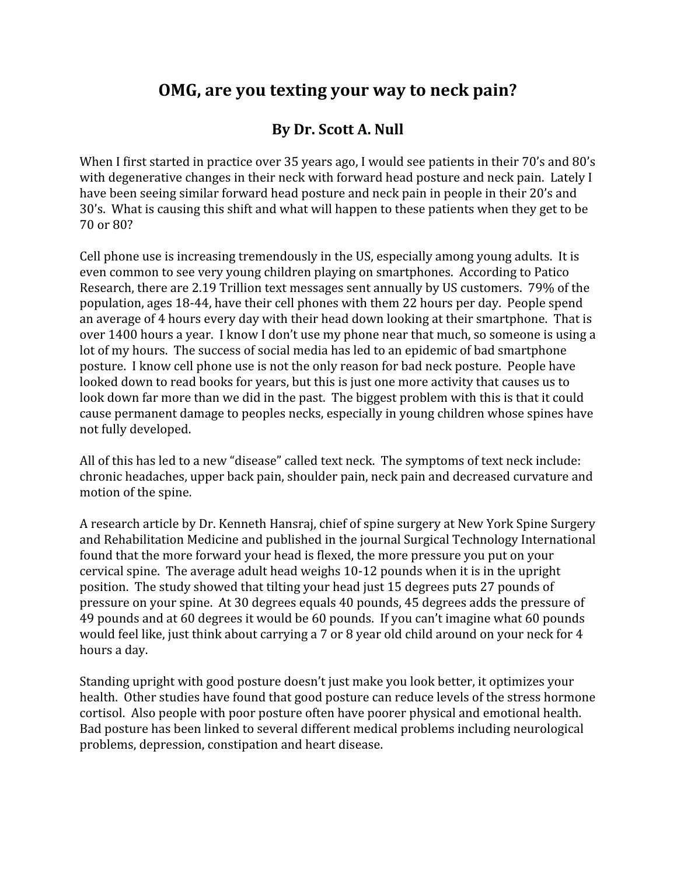## **OMG, are you texting your way to neck pain?**

## **By Dr. Scott A. Null**

When I first started in practice over 35 years ago, I would see patients in their 70's and 80's with degenerative changes in their neck with forward head posture and neck pain. Lately I have been seeing similar forward head posture and neck pain in people in their 20's and 30's. What is causing this shift and what will happen to these patients when they get to be 70 or 80?

Cell phone use is increasing tremendously in the US, especially among young adults. It is even common to see very young children playing on smartphones. According to Patico Research, there are 2.19 Trillion text messages sent annually by US customers. 79% of the population, ages 18-44, have their cell phones with them 22 hours per day. People spend an average of 4 hours every day with their head down looking at their smartphone. That is over 1400 hours a year. I know I don't use my phone near that much, so someone is using a lot of my hours. The success of social media has led to an epidemic of bad smartphone posture. I know cell phone use is not the only reason for bad neck posture. People have looked down to read books for years, but this is just one more activity that causes us to look down far more than we did in the past. The biggest problem with this is that it could cause permanent damage to peoples necks, especially in young children whose spines have not fully developed.

All of this has led to a new "disease" called text neck. The symptoms of text neck include: chronic headaches, upper back pain, shoulder pain, neck pain and decreased curvature and motion of the spine.

A research article by Dr. Kenneth Hansraj, chief of spine surgery at New York Spine Surgery and Rehabilitation Medicine and published in the journal Surgical Technology International found that the more forward your head is flexed, the more pressure you put on your cervical spine. The average adult head weighs 10-12 pounds when it is in the upright position. The study showed that tilting your head just 15 degrees puts 27 pounds of pressure on your spine. At 30 degrees equals 40 pounds, 45 degrees adds the pressure of 49 pounds and at 60 degrees it would be 60 pounds. If you can't imagine what 60 pounds would feel like, just think about carrying a 7 or 8 year old child around on your neck for 4 hours a day.

Standing upright with good posture doesn't just make you look better, it optimizes your health. Other studies have found that good posture can reduce levels of the stress hormone cortisol. Also people with poor posture often have poorer physical and emotional health. Bad posture has been linked to several different medical problems including neurological problems, depression, constipation and heart disease.